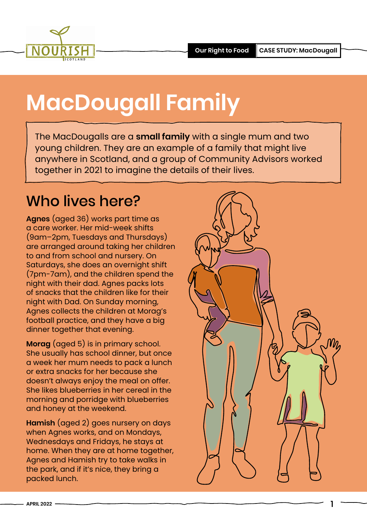

## **MacDougall Family**

The MacDougalls are a **small family** with a single mum and two young children. They are an example of a family that might live anywhere in Scotland, and a group of Community Advisors worked together in 2021 to imagine the details of their lives.

#### Who lives here?

**Agnes** (aged 36) works part time as a care worker. Her mid-week shifts (9am–2pm, Tuesdays and Thursdays) are arranged around taking her children to and from school and nursery. On Saturdays, she does an overnight shift (7pm-7am), and the children spend the night with their dad. Agnes packs lots of snacks that the children like for their night with Dad. On Sunday morning, Agnes collects the children at Morag's football practice, and they have a big dinner together that evening.

**Morag** (aged 5) is in primary school. She usually has school dinner, but once a week her mum needs to pack a lunch or extra snacks for her because she doesn't always enjoy the meal on offer. She likes blueberries in her cereal in the morning and porridge with blueberries and honey at the weekend.

**Hamish** (aged 2) goes nursery on days when Agnes works, and on Mondays, Wednesdays and Fridays, he stays at home. When they are at home together, Agnes and Hamish try to take walks in the park, and if it's nice, they bring a packed lunch.



1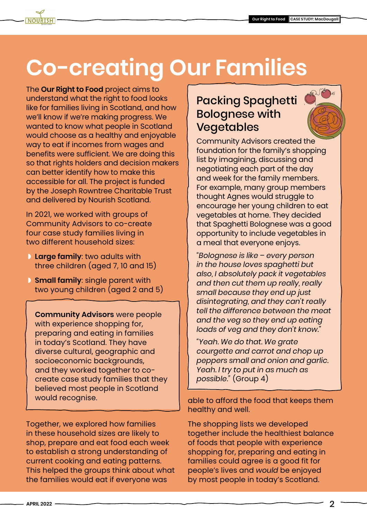## **Co-creating Our Families**

The **[Our Right to Food](https://www.nourishscotland.org/projects/our-right-to-food/)** project aims to understand what the right to food looks like for families living in Scotland, and how we'll know if we're making progress. We wanted to know what people in Scotland would choose as a healthy and enjoyable way to eat if incomes from wages and benefits were sufficient. We are doing this so that rights holders and decision makers can better identify how to make this accessible for all. The project is funded by the Joseph Rowntree Charitable Trust and delivered by Nourish Scotland.

In 2021, we worked with groups of Community Advisors to co-create four case study families living in two different household sizes:

- ◗ **Large family**: two adults with three children (aged 7, 10 and 15)
- $\blacksquare$  **Small family**: single parent with two young children (aged 2 and 5)

**Community Advisors** were people with experience shopping for, preparing and eating in families in today's Scotland. They have diverse cultural, geographic and socioeconomic backgrounds, and they worked together to cocreate case study families that they believed most people in Scotland would recognise.

Together, we explored how families in these household sizes are likely to shop, prepare and eat food each week to establish a strong understanding of current cooking and eating patterns. This helped the groups think about what the families would eat if everyone was

#### Packing Spaghetti Bolognese with Vegetables

Community Advisors created the foundation for the family's shopping list by imagining, discussing and negotiating each part of the day and week for the family members. For example, many group members thought Agnes would struggle to encourage her young children to eat vegetables at home. They decided that Spaghetti Bolognese was a good opportunity to include vegetables in a meal that everyone enjoys.

*"Bolognese is like – every person in the house loves spaghetti but also, I absolutely pack it vegetables and then cut them up really, really small because they end up just disintegrating, and they can't really tell the difference between the meat and the veg so they end up eating loads of veg and they don't know."*

*"Yeah. We do that. We grate courgette and carrot and chop up peppers small and onion and garlic. Yeah. I try to put in as much as possible."* (Group 4)

able to afford the food that keeps them healthy and well.

The shopping lists we developed together include the healthiest balance of foods that people with experience shopping for, preparing and eating in families could agree is a good fit for people's lives and *would* be enjoyed by most people in today's Scotland.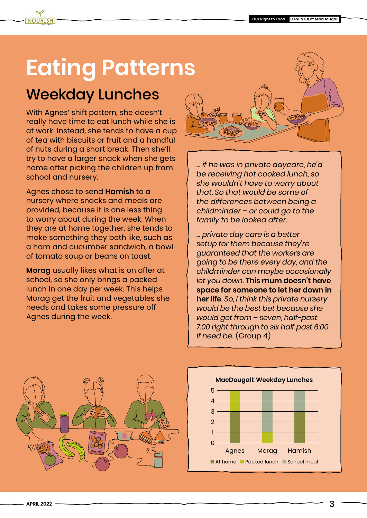### **Eating Patterns**

### Weekday Lunches

With Agnes' shift pattern, she doesn't really have time to eat lunch while she is at work. Instead, she tends to have a cup of tea with biscuits or fruit and a handful of nuts during a short break. Then she'll try to have a larger snack when she gets home after picking the children up from school and nursery.

Agnes chose to send **Hamish** to a nursery where snacks and meals are provided, because it is one less thing to worry about during the week. When they are at home together, she tends to make something they both like, such as a ham and cucumber sandwich, a bowl of tomato soup or beans on toast.

**Morag** usually likes what is on offer at school, so she only brings a packed lunch in one day per week. This helps Morag get the fruit and vegetables she needs and takes some pressure off Agnes during the week.



*… if he was in private daycare, he'd be receiving hot cooked lunch, so she wouldn't have to worry about that. So that would be some of the differences between being a childminder – or could go to the family to be looked after.*

*… private day care is a better setup for them because they're guaranteed that the workers are going to be there every day, and the childminder can maybe occasionally let you down.* **This mum doesn't have space for someone to let her down in her life***. So, I think this private nursery would be the best bet because she would get from – seven, half-past 7:00 right through to six half past 6:00 if need be.* (Group 4)



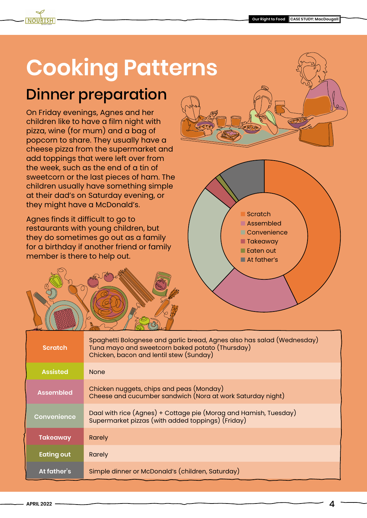

### Dinner preparation

On Friday evenings, Agnes and her children like to have a film night with pizza, wine (for mum) and a bag of popcorn to share. They usually have a cheese pizza from the supermarket and add toppings that were left over from the week, such as the end of a tin of sweetcorn or the last pieces of ham. The children usually have something simple at their dad's on Saturday evening, or they might have a McDonald's.

Agnes finds it difficult to go to restaurants with young children, but they do sometimes go out as a family for a birthday if another friend or family member is there to help out.





| <b>Scratch</b>     | Spaghetti Bolognese and garlic bread, Agnes also has salad (Wednesday)<br>Tuna mayo and sweetcorn baked potato (Thursday)<br>Chicken, bacon and lentil stew (Sunday) |
|--------------------|----------------------------------------------------------------------------------------------------------------------------------------------------------------------|
| <b>Assisted</b>    | <b>None</b>                                                                                                                                                          |
| <b>Assembled</b>   | Chicken nuggets, chips and peas (Monday)<br>Cheese and cucumber sandwich (Nora at work Saturday night)                                                               |
| <b>Convenience</b> | Daal with rice (Agnes) + Cottage pie (Morag and Hamish, Tuesday)<br>Supermarket pizzas (with added toppings) (Friday)                                                |
| <b>Takeaway</b>    | Rarely                                                                                                                                                               |
| <b>Eating out</b>  | <b>Rarely</b>                                                                                                                                                        |
| At father's        | Simple dinner or McDonald's (children, Saturday)                                                                                                                     |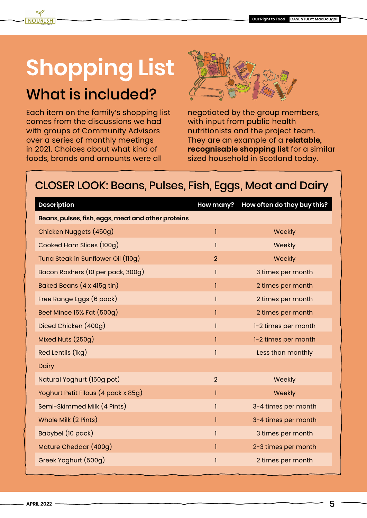### **Shopping List** What is included?

Each item on the family's shopping list comes from the discussions we had with groups of Community Advisors over a series of monthly meetings in 2021. Choices about what kind of foods, brands and amounts were all



negotiated by the group members, with input from public health nutritionists and the project team. They are an example of a **relatable, recognisable shopping list** for a similar sized household in Scotland today.

#### CLOSER LOOK: Beans, Pulses, Fish, Eggs, Meat and Dairy

| <b>Description</b>                                 | How many?      | How often do they buy this? |
|----------------------------------------------------|----------------|-----------------------------|
| Beans, pulses, fish, eggs, meat and other proteins |                |                             |
| Chicken Nuggets (450g)                             | 1              | Weekly                      |
| Cooked Ham Slices (100g)                           | 1              | Weekly                      |
| Tuna Steak in Sunflower Oil (110g)                 | $\overline{2}$ | Weekly                      |
| Bacon Rashers (10 per pack, 300g)                  | 1              | 3 times per month           |
| Baked Beans (4 x 415g tin)                         | 1              | 2 times per month           |
| Free Range Eggs (6 pack)                           | $\mathbf{I}$   | 2 times per month           |
| Beef Mince 15% Fat (500g)                          |                | 2 times per month           |
| Diced Chicken (400g)                               | 1              | 1-2 times per month         |
| Mixed Nuts (250g)                                  | ı              | 1-2 times per month         |
| Red Lentils (lkg)                                  | 1              | Less than monthly           |
| Dairy                                              |                |                             |
| Natural Yoghurt (150g pot)                         | $\overline{2}$ | Weekly                      |
| Yoghurt Petit Filous (4 pack x 85g)                | 1              | Weekly                      |
| Semi-Skimmed Milk (4 Pints)                        | 1              | 3-4 times per month         |
| Whole Milk (2 Pints)                               | 1              | 3-4 times per month         |
| Babybel (10 pack)                                  | 1              | 3 times per month           |
| Mature Cheddar (400g)                              | 1              | 2-3 times per month         |
| Greek Yoghurt (500g)                               | 1              | 2 times per month           |